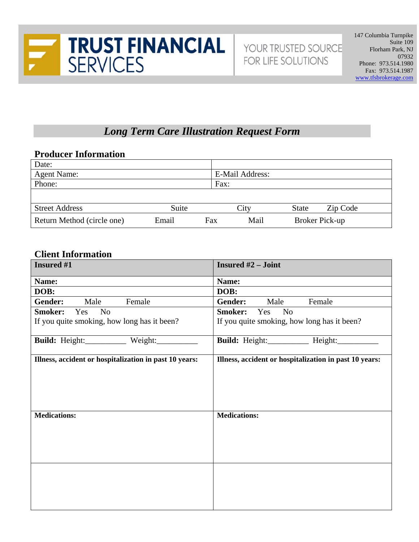

# *Long Term Care Illustration Request Form*

### **Producer Information**

| Date:                      |       |     |                        |              |          |  |
|----------------------------|-------|-----|------------------------|--------------|----------|--|
| <b>Agent Name:</b>         |       |     | <b>E-Mail Address:</b> |              |          |  |
| Phone:                     | Fax:  |     |                        |              |          |  |
|                            |       |     |                        |              |          |  |
| <b>Street Address</b>      | Suite |     | City                   | <b>State</b> | Zip Code |  |
| Return Method (circle one) | Email | Fax | Broker Pick-up<br>Mail |              |          |  |

#### **Client Information**

| <b>Insured #1</b>                                      | <b>Insured #2 - Joint</b>                              |  |  |  |  |
|--------------------------------------------------------|--------------------------------------------------------|--|--|--|--|
| Name:                                                  | Name:                                                  |  |  |  |  |
| DOB:                                                   | DOB:                                                   |  |  |  |  |
| Gender:<br>Male<br>Female                              | <b>Gender:</b><br>Male<br>Female                       |  |  |  |  |
| Smoker:<br>Yes<br>N <sub>o</sub>                       | <b>Smoker:</b><br>Yes No                               |  |  |  |  |
| If you quite smoking, how long has it been?            | If you quite smoking, how long has it been?            |  |  |  |  |
| Build: Height:__________ Weight:______                 | Build: Height:__________ Height:______                 |  |  |  |  |
| Illness, accident or hospitalization in past 10 years: | Illness, accident or hospitalization in past 10 years: |  |  |  |  |
| <b>Medications:</b>                                    | <b>Medications:</b>                                    |  |  |  |  |
|                                                        |                                                        |  |  |  |  |